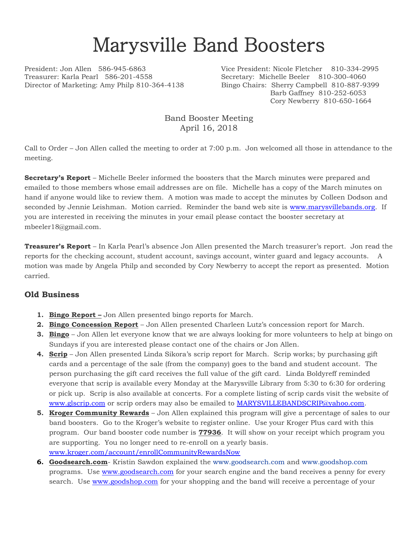## Marysville Band Boosters

Treasurer: Karla Pearl 586-201-4558 Secretary: Michelle Beeler 810-300-4060 Director of Marketing: Amy Philp 810-364-4138 Bingo Chairs: Sherry Campbell 810-887-9399

President: Jon Allen 586-945-6863 Vice President: Nicole Fletcher 810-334-2995 Barb Gaffney 810-252-6053 Cory Newberry 810-650-1664

> Band Booster Meeting April 16, 2018

Call to Order – Jon Allen called the meeting to order at 7:00 p.m. Jon welcomed all those in attendance to the meeting.

**Secretary's Report** – Michelle Beeler informed the boosters that the March minutes were prepared and emailed to those members whose email addresses are on file. Michelle has a copy of the March minutes on hand if anyone would like to review them. A motion was made to accept the minutes by Colleen Dodson and seconded by Jennie Leishman. Motion carried. Reminder the band web site is [www.marysvillebands.org.](http://www.marysvillebands.org/) If you are interested in receiving the minutes in your email please contact the booster secretary at mbeeler18@gmail.com.

**Treasurer's Report** – In Karla Pearl's absence Jon Allen presented the March treasurer's report. Jon read the reports for the checking account, student account, savings account, winter guard and legacy accounts. A motion was made by Angela Philp and seconded by Cory Newberry to accept the report as presented. Motion carried.

## **Old Business**

- **1. Bingo Report –** Jon Allen presented bingo reports for March.
- **2. Bingo Concession Report** Jon Allen presented Charleen Lutz's concession report for March.
- **3. Bingo** Jon Allen let everyone know that we are always looking for more volunteers to help at bingo on Sundays if you are interested please contact one of the chairs or Jon Allen.
- **4. Scrip** Jon Allen presented Linda Sikora's scrip report for March. Scrip works; by purchasing gift cards and a percentage of the sale (from the company) goes to the band and student account. The person purchasing the gift card receives the full value of the gift card. Linda Boldyreff reminded everyone that scrip is available every Monday at the Marysville Library from 5:30 to 6:30 for ordering or pick up. Scrip is also available at concerts. For a complete listing of scrip cards visit the website of [www.glscrip.com](http://www.glscrip.com/) or scrip orders may also be emailed to [MARYSVILLEBANDSCRIP@yahoo.com.](mailto:MARYSVILLEBANDSCRIP@yahoo.com)
- **5. Kroger Community Rewards** Jon Allen explained this program will give a percentage of sales to our band boosters. Go to the Kroger's website to register online. Use your Kroger Plus card with this program. Our band booster code number is **77936**. It will show on your receipt which program you are supporting. You no longer need to re-enroll on a yearly basis. [www.kroger.com/account/enrollCommunityRewardsNow](http://www.kroger.com/account/enrollCommunityRewardsNow)
- **6. Goodsearch.com** Kristin Sawdon explained the [www.goodsearch.com](http://www.goodsearch.com/) and [www.goodshop.com](http://www.goodshop.com/) programs. Use [www.goodsearch.com](http://www.goodsearch.com/) for your search engine and the band receives a penny for every search. Use [www.goodshop.com](http://www.goodshop.com/) for your shopping and the band will receive a percentage of your